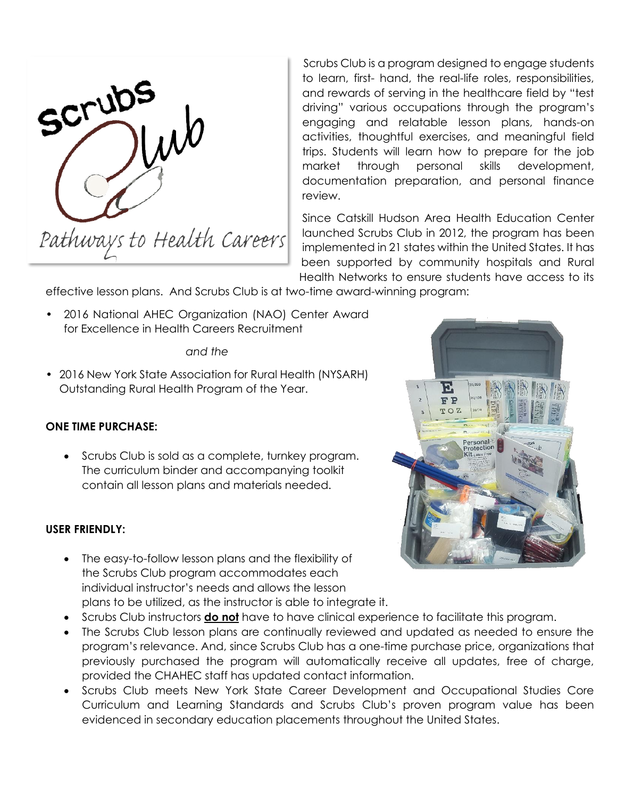

Scrubs Club is a program designed to engage students to learn, first- hand, the real-life roles, responsibilities, and rewards of serving in the healthcare field by "test driving" various occupations through the program's engaging and relatable lesson plans, hands-on activities, thoughtful exercises, and meaningful field trips. Students will learn how to prepare for the job market through personal skills development, documentation preparation, and personal finance review.

Since Catskill Hudson Area Health Education Center launched Scrubs Club in 2012, the program has been implemented in 21 states within the United States. It has been supported by community hospitals and Rural Health Networks to ensure students have access to its

effective lesson plans. And Scrubs Club is at two-time award-winning program:

• 2016 National AHEC Organization (NAO) Center Award for Excellence in Health Careers Recruitment

#### *and the*

• 2016 New York State Association for Rural Health (NYSARH) Outstanding Rural Health Program of the Year.

# **ONE TIME PURCHASE:**

• Scrubs Club is sold as a complete, turnkey program. The curriculum binder and accompanying toolkit contain all lesson plans and materials needed.

# **USER FRIENDLY:**

- The easy-to-follow lesson plans and the flexibility of the Scrubs Club program accommodates each individual instructor's needs and allows the lesson plans to be utilized, as the instructor is able to integrate it.
- Scrubs Club instructors **do not** have to have clinical experience to facilitate this program.
- The Scrubs Club lesson plans are continually reviewed and updated as needed to ensure the program's relevance. And, since Scrubs Club has a one-time purchase price, organizations that previously purchased the program will automatically receive all updates, free of charge, provided the CHAHEC staff has updated contact information.
- Scrubs Club meets New York State Career Development and Occupational Studies Core Curriculum and Learning Standards and Scrubs Club's proven program value has been evidenced in secondary education placements throughout the United States.

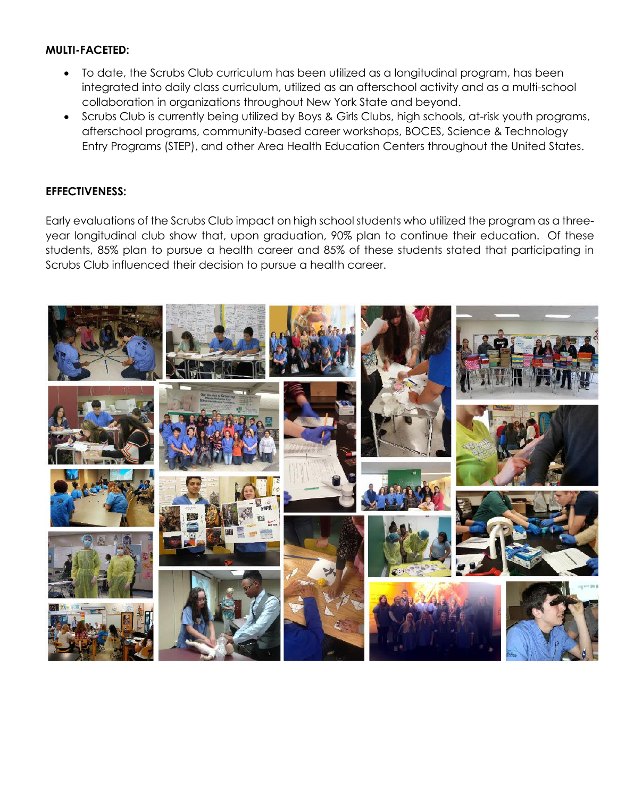# **MULTI-FACETED:**

- To date, the Scrubs Club curriculum has been utilized as a longitudinal program, has been integrated into daily class curriculum, utilized as an afterschool activity and as a multi-school collaboration in organizations throughout New York State and beyond.
- Scrubs Club is currently being utilized by Boys & Girls Clubs, high schools, at-risk youth programs, afterschool programs, community-based career workshops, BOCES, Science & Technology Entry Programs (STEP), and other Area Health Education Centers throughout the United States.

## **EFFECTIVENESS:**

Early evaluations of the Scrubs Club impact on high school students who utilized the program as a threeyear longitudinal club show that, upon graduation, 90% plan to continue their education. Of these students, 85% plan to pursue a health career and 85% of these students stated that participating in Scrubs Club influenced their decision to pursue a health career.